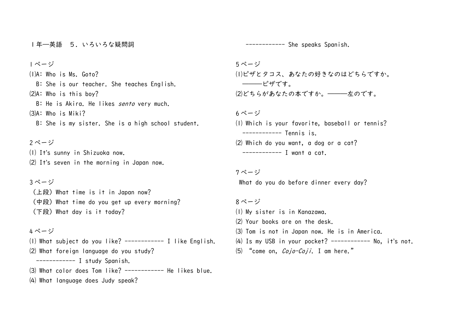1年―英語 5.いろいろな疑問詞

1 ページ

⑴A: Who is Ms. Goto? B: She is our teacher. She teaches English. ⑵A: Who is this boy? B: He is Akirg. He likes *sento* very much.  $(3)$ A: Who is Miki?

B: She is my sister. She is a high school student.

### 2 ページ

⑴ It's sunny in Shizuoka now. ⑵ It's seven in the morning in Japan now.

## 3 ページ

 $($ 上段) What time is it in Japan now?  $(\uparrow \oplus \downarrow)$  What time do you get up every morning?  $(\text{TR})$  What day is it today?

## 4 ページ

⑴ What subject do you like? ------------ I like English. ⑵ What foreign language do you study? ------------ I study Spanish.  $(3)$  What color does Tom like? ------------ He likes blue.

⑷ What language does Judy speak?

------------ She speaks Spanish.

5 ページ ⑴ピザとタコス、あなたの好きなのはどちらですか。 ―――ピザです。 ⑵どちらがあなたの本ですか。―――左のです。

6 ページ

⑴ Which is your favorite, baseball or tennis? ------------ Tennis is. ⑵ Which do you want, a dog or a cat? ------------ I want a cat.

# 7 ページ

What do you do before dinner every day?

#### 8 ページ

- ⑴ My sister is in Kanazawa. ⑵ Your books are on the desk. ⑶ Tom is not in Japan now. He is in America.
- $(4)$  Is my USB in your pocket? ----------- No, it's not.
- $(5)$  "come on,  $Cojo$ - $Coji$ . I am here."